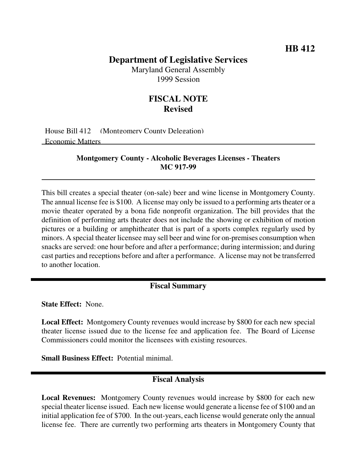## **Department of Legislative Services**

Maryland General Assembly 1999 Session

# **FISCAL NOTE Revised**

House Bill 412 (Montgomery County Delegation) Economic Matters

#### **Montgomery County - Alcoholic Beverages Licenses - Theaters MC 917-99**

This bill creates a special theater (on-sale) beer and wine license in Montgomery County. The annual license fee is \$100. A license may only be issued to a performing arts theater or a movie theater operated by a bona fide nonprofit organization. The bill provides that the definition of performing arts theater does not include the showing or exhibition of motion pictures or a building or amphitheater that is part of a sports complex regularly used by minors. A special theater licensee may sell beer and wine for on-premises consumption when snacks are served: one hour before and after a performance; during intermission; and during cast parties and receptions before and after a performance. A license may not be transferred to another location.

### **Fiscal Summary**

**State Effect:** None.

**Local Effect:** Montgomery County revenues would increase by \$800 for each new special theater license issued due to the license fee and application fee. The Board of License Commissioners could monitor the licensees with existing resources.

**Small Business Effect:** Potential minimal.

# **Fiscal Analysis**

**Local Revenues:** Montgomery County revenues would increase by \$800 for each new special theater license issued. Each new license would generate a license fee of \$100 and an initial application fee of \$700. In the out-years, each license would generate only the annual license fee. There are currently two performing arts theaters in Montgomery County that